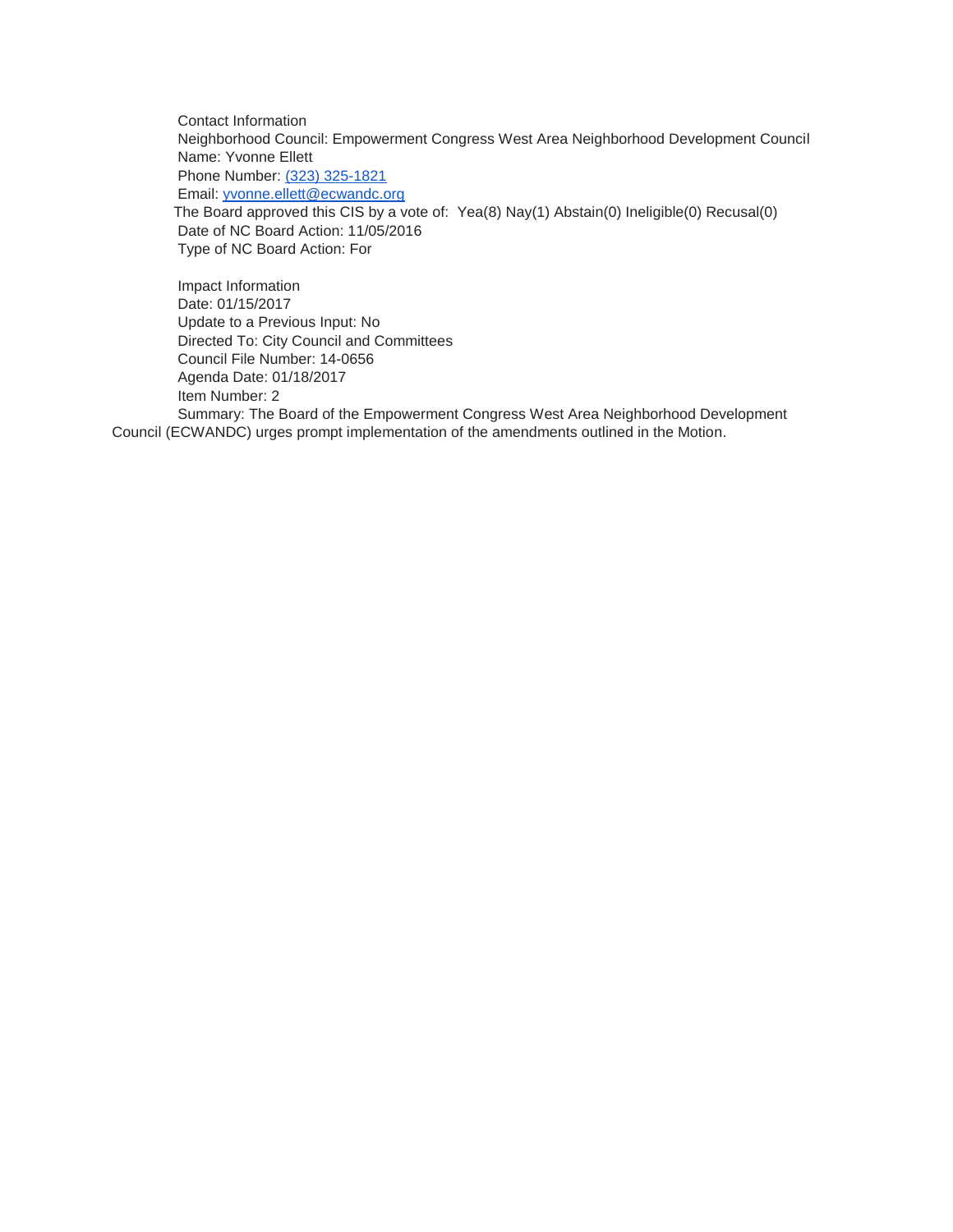Contact Information Neighborhood Council: Empowerment Congress West Area Neighborhood Development Council Name: Yvonne Ellett Phone Number: [\(323\) 325-1821](tel:%28323%29%20325-1821) Email: [yvonne.ellett@ecwandc.org](mailto:yvonne.ellett@ecwandc.org) The Board approved this CIS by a vote of: Yea(8) Nay(1) Abstain(0) Ineligible(0) Recusal(0) Date of NC Board Action: 11/05/2016 Type of NC Board Action: For

Impact Information Date: 01/15/2017 Update to a Previous Input: No Directed To: City Council and Committees Council File Number: 14-0656 Agenda Date: 01/18/2017 Item Number: 2 Summary: The Board of the Empowerment Congress West Area Neighborhood Development Council (ECWANDC) urges prompt implementation of the amendments outlined in the Motion.